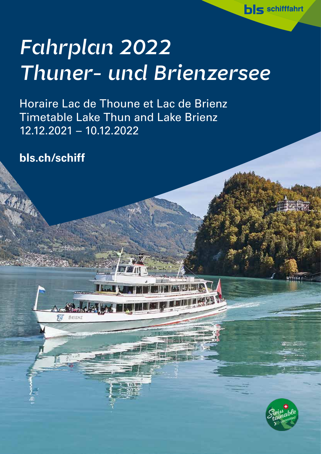# *Fahrplan 2022 Thuner- und Brienzersee*

Horaire Lac de Thoune et Lac de Brienz Timetable Lake Thun and Lake Brienz 12.12.2021 – 10.12.2022

**Albert 19** 

ROICN:

**bls.ch/schiff**

新闻



**bls** schifffahrt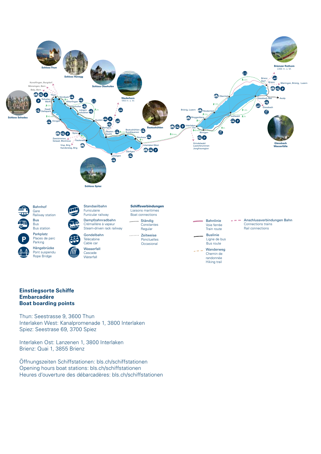

#### **Einstiegsorte Schiffe Embarcadère Boat boarding points**

Thun: Seestrasse 9, 3600 Thun Interlaken West: Kanalpromenade 1, 3800 Interlaken Spiez: Seestrase 69, 3700 Spiez

Interlaken Ost: Lanzenen 1, 3800 Interlaken Brienz: Quai 1, 3855 Brienz

Öffnungszeiten Schiffstationen: bls.ch/schiffstationen Opening hours boat stations: bls.ch/schiffstationen Heures d'ouverture des débarcadères: bls.ch/schiffstationen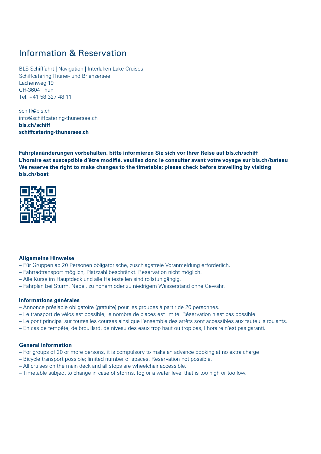# Information & Reservation

BLS Schifffahrt | Navigation | Interlaken Lake Cruises Schiffcatering Thuner- und Brienzersee Lachenweg 19 CH-3604 Thun Tel. +41 58 327 48 11

schiff@bls.ch info@schiffcatering-thunersee.ch **bls.ch/schiff schiffcatering-thunersee.ch**

**Fahrplanänderungen vorbehalten, bitte informieren Sie sich vor Ihrer Reise auf bls.ch/schiff L'horaire est susceptible d'être modifié, veuillez donc le consulter avant votre voyage sur bls.ch/bateau We reserve the right to make changes to the timetable; please check before travelling by visiting bls.ch/boat** 



#### **Allgemeine Hinweise**

- Für Gruppen ab 20 Personen obligatorische, zuschlagsfreie Voranmeldung erforderlich.
- Fahrradtransport möglich, Platzzahl beschränkt. Reservation nicht möglich.
- Alle Kurse im Hauptdeck und alle Haltestellen sind rollstuhlgängig.
- Fahrplan bei Sturm, Nebel, zu hohem oder zu niedrigem Wasserstand ohne Gewähr.

#### **Informations générales**

- Annonce préalable obligatoire (gratuite) pour les groupes à partir de 20 personnes.
- Le transport de vélos est possible, le nombre de places est limité. Réservation n'est pas possible.
- Le pont principal sur toutes les courses ainsi que l'ensemble des arrêts sont accessibles aux fauteuils roulants.
- En cas de tempête, de brouillard, de niveau des eaux trop haut ou trop bas, l'horaire n'est pas garanti.

#### **General information**

- For groups of 20 or more persons, it is compulsory to make an advance booking at no extra charge
- Bicycle transport possible; limited number of spaces. Reservation not possible.
- All cruises on the main deck and all stops are wheelchair accessible.
- Timetable subject to change in case of storms, fog or a water level that is too high or too low.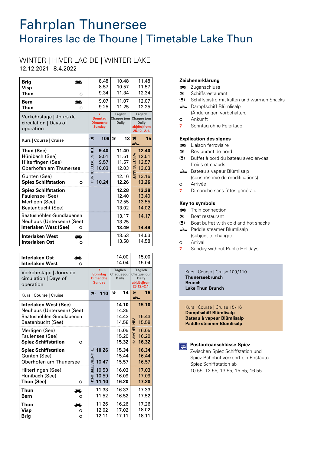# Fahrplan Thunersee Horaires lac de Thoune | Timetable Lake Thun

# WINTER | HIVER LAC DE | WINTER LAKE

12.12.2021–8.4.2022

| <b>Brig</b><br><b>Visp</b><br>Thun<br>Bern                                                                                 | O<br>≏ |                        | 8.48<br>8.57<br>9.34<br>9.07                                    |                                               | 10.48<br>10.57<br>11.34<br>11.07<br>11.25          |                    | 11.48<br>11.57<br>12.34<br>12.07                                                       |    |
|----------------------------------------------------------------------------------------------------------------------------|--------|------------------------|-----------------------------------------------------------------|-----------------------------------------------|----------------------------------------------------|--------------------|----------------------------------------------------------------------------------------|----|
| Thun<br>Verkehrstage   Jours de<br>circulation   Days of<br>operation                                                      | O      |                        | 9.25<br>7<br><b>Sonntag</b><br><b>Dimanche</b><br><b>Sunday</b> | <b>Täglich</b><br>Chaque jour<br><b>Daily</b> |                                                    |                    | 12.25<br><b>Täglich</b><br>Chaque jour<br><b>Daily</b><br>ab dès from<br>$25.12 - 2.1$ |    |
| Kurs   Course   Cruise                                                                                                     |        | (2)                    | 109                                                             | ×                                             | 13                                                 | ×                  |                                                                                        | 15 |
| Thun (See)<br>Hünibach (See)<br>Hilterfingen (See)<br>Oberhofen am Thunersee<br>Gunten (See)<br><b>Spiez Schiffstation</b> | O      | <b>THUNERSEEBRUNCH</b> | 9.40<br>9.51<br>9.57<br>10.03<br>10.24                          |                                               | 11.40<br>11.51<br>11.57<br>12.03<br>12.16<br>12.26 | <b>WINTERDAMPI</b> | 12.40<br>12.51<br>12.57<br>13.03<br>13.16<br>13.26                                     |    |
| <b>Spiez Schiffstation</b><br>Faulensee (See)<br>Merligen (See)<br>Beatenbucht (See)                                       |        |                        |                                                                 |                                               | 12.28<br>12.40<br>12.55<br>13.02                   |                    | 13.28<br>13.40<br>13.55<br>14.02                                                       |    |
| Beatushöhlen-Sundlauenen<br>Neuhaus (Unterseen) (See)<br>Interlaken West (See)                                             | O      |                        |                                                                 |                                               | 13.17<br>13.25<br>13.49                            |                    | 14.17<br>14.49                                                                         |    |
| <b>Interlaken West</b><br><b>Interlaken Ost</b>                                                                            | ≏<br>O |                        |                                                                 |                                               | 13.53<br>13.58                                     |                    | 14.53<br>14.58                                                                         |    |

| Interlaken Ost<br>Interlaken West<br>O                                                              |                                                         | 14.00<br>14.04                                | 15.00<br>15.04                                                                       |
|-----------------------------------------------------------------------------------------------------|---------------------------------------------------------|-----------------------------------------------|--------------------------------------------------------------------------------------|
| Verkehrstage   Jours de<br>circulation   Days of<br>operation                                       | 7<br><b>Sonntag</b><br><b>Dimanche</b><br><b>Sunday</b> | <b>Täglich</b><br>Chaque jour<br><b>Daily</b> | <b>Täglich</b><br><b>Chaque</b> jour<br><b>Daily</b><br>ab dès from<br>$25.12 - 2.1$ |
| Kurs   Course   Cruise                                                                              | 110<br>(2)                                              | 14<br>×                                       | 16<br>X                                                                              |
| Interlaken West (See)<br>Neuhaus (Unterseen) (See)<br>Beatushöhlen-Sundlauenen<br>Beatenbucht (See) |                                                         | 14.10<br>14.35<br>14.43<br>14.58              | 15.10<br>15.43<br>15.58                                                              |
| Merligen (See)<br>Faulensee (See)<br><b>Spiez Schiffstation</b><br>റ                                |                                                         | 15.05<br>15.20<br>15.32                       | WINTERDAMPF<br>16.05<br>16.20<br>16.32                                               |
| <b>Spiez Schiffstation</b><br>Gunten (See)<br>Oberhofen am Thunersee                                | 10.26<br><b>THUNERSE</b><br>10.47                       | 15.34<br>15.44<br>15.57                       | 16.34<br>16.44<br>16.57                                                              |
| Hilterfingen (See)<br>Hünibach (See)<br>Thun (See)<br>O                                             | <b>EBRUNCH</b><br>10.53<br>10.59<br>11.10               | 16.03<br>16.09<br>16.20                       | 17.03<br>17.09<br>17.20                                                              |
| Thun<br>Ð<br>Bern<br>O                                                                              | 11.33<br>11.52                                          | 16.33<br>16.52                                | 17.33<br>17.52                                                                       |
| Thun<br>هت<br>Visp<br>O<br>Brig<br>O                                                                | 11.26<br>12.02<br>12.11                                 | 16.26<br>17.02<br>17.11                       | 17.26<br>18.02<br>18.11                                                              |

#### **Zeichenerklärung**

- **zuganschluss**
- $\mathbf{\mathsf{F}}$  Schiffsrestaurant
- (!) Schiffsbistro mit kalten und warmen Snacks
- $\triangle$  Dampfschiff Blümlisalp (Änderungen vorbehalten)
- **o** Ankunft
- 
- **7** Sonntag ohne Feiertage

#### **Explication des signes**

- **ED** Liaison ferroviaire
- q Restaurant de bord
- s Buffet à bord du bateau avec en-cas froids et chauds
- Bateau a vapeur Blümlisalp (sous réserve de modifications)
- o Arrivée
- **7** Dimanche sans fêtes générale

#### **Key to symbols**

- **Train connection**
- $\mathcal X$  Boat restaurant
- (!) Boat buffet with cold and hot snacks
- **E** Paddle steamer Blümlisalp (subject to change)
- o Arrival
- **7** Sunday without Public Holidays

Kurs | Course | Cruise 109/110 **Thunerseebrunch Brunch Lake Thun Brunch**

Kurs | Course | Cruise 15/16 **Dampfschiff Blümlisalp Bateau à vapeur Blümlisalp Paddle steamer Blümlisalp**

| Postau     |
|------------|
| wisch<br>۱ |

**Postautoanschlüsse Spiez** 

en Spiez Schiffstation und Spiez Bahnhof verkehrt ein Postauto. Spiez Schiffstation ab 10.55; 12.55; 13.55; 15.55; 16.55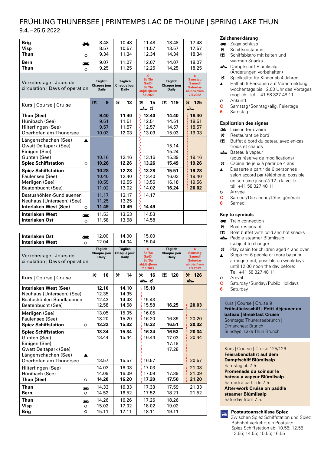## FRÜHLING THUNERSEE | PRINTEMPS LAC DE THOUNE | SPRING LAKE THUN 9.4.–25.5.2022

| <b>Brig</b><br><b>Visp</b><br><b>Thun</b><br>$\circ$<br><b>Bern</b><br>æ<br><b>Thun</b><br>O                             | 8.48<br>8.57<br>9.34<br>9.07<br>9.25   | 10.48<br>10.57<br>11.34<br>11.07<br>11.25     | 11.48<br>11.57<br>12.34<br>12.07<br>12.25                | 13.48<br>13.57<br>14.34<br>14.07<br>14.25 | 17.48<br>17.57<br>18.34<br>18.07<br>18.25                                          |
|--------------------------------------------------------------------------------------------------------------------------|----------------------------------------|-----------------------------------------------|----------------------------------------------------------|-------------------------------------------|------------------------------------------------------------------------------------|
| Verkehrstage   Jours de<br>circulation   Days of operation                                                               | Täglich<br>Chaque jour<br><b>Daily</b> | <b>Täglich</b><br>Chaque jour<br><b>Daily</b> | C.<br>Sa/So<br>Sa/Di<br>Sa/Su<br>ab dès from<br>7.5.2022 | Täglich<br>Chaque jour<br><b>Daily</b>    | 6<br><b>Samstag</b><br><b>Samedi</b><br><b>Saturday</b><br>ab dès from<br>7.5.2022 |
| Kurs   Course   Cruise                                                                                                   | 9<br>(2)                               | ×<br>13                                       | ×<br>15<br>스 비                                           | $(2)$ 119                                 | % 125<br>$\rightarrow$                                                             |
| Thun (See)<br>Hünibach (See)<br>Hilterfingen (See)<br>Oberhofen am Thunersee                                             | 9.40<br>9.51<br>9.57<br>10.03          | 11.40<br>11.51<br>11.57<br>12.03              | 12.40<br>12.51<br>12.57<br>13.03                         | 14.40<br>14.51<br>14.57<br>15.03          | 18.40<br>18.51<br>18.57<br>19.03                                                   |
| Längenschachen (See)<br><b>Gwatt Deltapark (See)</b><br>Einigen (See)<br>Gunten (See)<br><b>Spiez Schiffstation</b><br>O | 10.16<br>10.26                         | 12.16<br>12.26                                | 13.16<br>13.26                                           | 15.14<br>15.24<br>15.39<br>15.49          | 19.16<br>19.26                                                                     |
| <b>Spiez Schiffstation</b><br>Faulensee (See)<br>Merligen (See)<br>Beatenbucht (See)                                     | 10.28<br>10.40<br>10.55<br>11.02       | 12.28<br>12.40<br>12.55<br>13.02              | 13.28<br>13.40<br>13.55<br>14.02                         | 15.51<br>16.03<br>16.18<br>16.24          | 19.28<br>19.40<br>19.56<br>20.02                                                   |
| Beatushöhlen-Sundlauenen<br>Neuhaus (Unterseen) (See)<br>Interlaken West (See)<br>O                                      | 11.17<br>11.25<br>11.49                | 13.17<br>13.25<br>13.49                       | 14.17<br>14.49                                           |                                           |                                                                                    |
| <b>Interlaken West</b><br>ΞŌ<br><b>Interlaken Ost</b><br>$\Omega$                                                        | 11.53<br>11.58                         | 13.53<br>13.58                                | 14.53<br>14.58                                           |                                           |                                                                                    |

| <b>Interlaken Ost</b><br><b>Interlaken West</b><br>O                                                                                          | 12.00<br>12.04                                | 14.00<br>14.04                                | 15.00<br>15.04                                          |                                               |                                                                                    |
|-----------------------------------------------------------------------------------------------------------------------------------------------|-----------------------------------------------|-----------------------------------------------|---------------------------------------------------------|-----------------------------------------------|------------------------------------------------------------------------------------|
| Verkehrstage   Jours de<br>circulation   Days of operation                                                                                    | <b>Täglich</b><br>Chaque jour<br><b>Daily</b> | <b>Täglich</b><br>Chaque jour<br><b>Daily</b> | C<br>Sa/So<br>Sa/Di<br>Sa/Su<br>ab dès from<br>7.5.2022 | <b>Täglich</b><br>Chaque jour<br><b>Daily</b> | 6<br><b>Samstag</b><br><b>Samedi</b><br><b>Saturday</b><br>ab dès from<br>7.5.2022 |
| Kurs   Course   Cruise                                                                                                                        | ×<br>10                                       | ×<br>14                                       | ×<br>16<br>$\rightarrow$ $\pi$                          | $(2)$ 120                                     | ₩ 126<br>ᆇ                                                                         |
| <b>Interlaken West (See)</b><br>Neuhaus (Unterseen) (See)<br>Beatushöhlen-Sundlauenen<br>Beatenbucht (See)                                    | 12.10<br>12.35<br>12.43<br>12.58              | 14.10<br>14.35<br>14.43<br>14.58              | 15.10<br>15.43<br>15.58                                 | 16.25                                         | 20.03                                                                              |
| Merligen (See)<br>Faulensee (See)<br><b>Spiez Schiffstation</b><br>O                                                                          | 13.05<br>13.20<br>13.32                       | 15.05<br>15.20<br>15.32                       | 16.05<br>16.20<br>16.32                                 | 16.39<br>16.51                                | 20.20<br>20.32                                                                     |
| <b>Spiez Schiffstation</b><br>Gunten (See)<br>Einigen (See)<br><b>Gwatt Deltapark (See)</b><br>Längenschachen (See)<br>Oberhofen am Thunersee | 13.34<br>13.44<br>13.57                       | 15.34<br>15.44<br>15.57                       | 16.34<br>16.44<br>16.57                                 | 16.53<br>17.03<br>17.18<br>17.28              | 20.34<br>20.44<br>20.57                                                            |
| Hilterfingen (See)<br>Hünibach (See)<br>Thun (See)<br>O                                                                                       | 14.03<br>14.09<br>14.20                       | 16.03<br>16.09<br>16.20                       | 17.03<br>17.09<br>17.20                                 | 17.39<br>17.50                                | 21.03<br>21.09<br>21.20                                                            |
| <b>Thun</b><br>هة<br><b>Bern</b><br>O                                                                                                         | 14.33<br>14.52                                | 16.33<br>16.52                                | 17.33<br>17.52                                          | 17.59<br>18.21                                | 21.33<br>21.52                                                                     |
| <b>Thun</b><br>هة<br><b>Visp</b><br>O<br><b>Brig</b><br>O                                                                                     | 14.26<br>15.02<br>15.11                       | 16.26<br>17.02<br>17.11                       | 17.26<br>18.02<br>18.11                                 | 18.26<br>19.02<br>19.11                       |                                                                                    |

#### **Zeichenerklärung**

- **zuganschluss**
- q Schiffsrestaurant
- (!) Schiffsbistro mit kalten und warmen Snacks
- **E** Dampfschiff Blümlisalp (Änderungen vorbehalten)
- ~ Spielkajüte für Kinder ab 4 Jahren
- Halt ab 6 Personen auf Voranmeldung,  $\blacktriangle$ wochentags bis 12.00 Uhr des Vortages möglich: Tel. +41 58 327 48 11
- **o** Ankunft
- **C** Samstag/Sonntag/allg. Feiertage
- **6** Samstag

#### **Explication des signes**

- **ED** Liaison ferroviaire
- q Restaurant de bord
- (!) Buffet à bord du bateau avec en-cas froids et chauds
- E Bateau à vapeur (sous réserve de modifications)
- $\bullet$  Cabine de jeux à partir de 4 ans
- Desserte à partir de 6 personnes  $\blacktriangle$ selon accord par téléphone, possible en semaine jusqu'à 12 h la veille: tél. +41 58 327 48 11
- o Arrivée **C** Samedi/Dimanche/fêtes générale
- **6** Samedi

#### **Key to symbols**

- Train connection
- \* Boat restaurant
- (!) Boat buffet with cold and hot snacks
- **E** Paddle steamer Blümlisalp (subject to change)
- ~ Play cabin for children aged 4 and over  $\blacktriangle$ Stops for 6 people or more by prior arrangement, possible on weekdays until 12.00 noon the day before: Tel. +41 58 327 48 11
- o Arrival
- **C** Saturday/Sunday/Public Holidays
- **6** Saturday

#### Kurs | Course | Cruise 9 **Frühstücksschiff | Petit-déjeuner en**

**bateau | Breakfast Cruise** Sonntags: Thunerseebrunch | Dimanches: Brunch | Sundays: Lake Thun Brunch

Kurs | Course | Cruise 125/126 **Feierabendfahrt auf dem Dampfschiff Blümlisalp**  Samstag ab 7.5. **Promenade du soir sur le bateau à vapeur Blümlisalp** Samedi à partir de 7.5. **After-work Cruise on paddle steamer Blümlisalp** Saturday from 7.5.



#### **Postautoanschlüsse Spiez**  Zwischen Spiez Schiffstation und Spiez Bahnhof verkehrt ein Postauto Spiez Schiffstation ab: 10.55; 12.55; 13.55; 14.55; 15.55; 16.55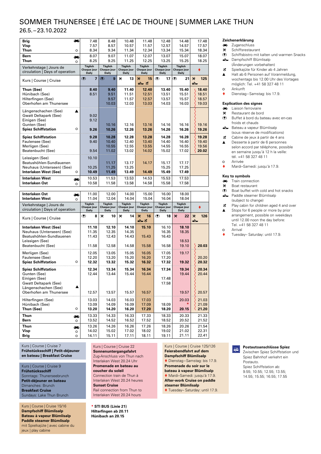# SOMMER THUNERSEE | ÉTÉ LAC DE THOUNE | SUMMER LAKE THUN

26.5. –23.10.2022

| Ō۵<br><b>Brig</b>                                                                                                                   | 7.48                                   | 8.48                                   | 10.48                                  | 11.48                                         | 12.48                                         | 14.48                           | 17.48          |
|-------------------------------------------------------------------------------------------------------------------------------------|----------------------------------------|----------------------------------------|----------------------------------------|-----------------------------------------------|-----------------------------------------------|---------------------------------|----------------|
| Visp                                                                                                                                | 7.57                                   | 8.57                                   | 10.57                                  | 11.57                                         | 12.57                                         | 14.57                           | 17.57          |
| Thun<br>$\circ$                                                                                                                     | 8.34                                   | 9.34                                   | 11.34                                  | 12.34                                         | 13.34                                         | 15.34                           | 18.34          |
| <b>Bern</b><br>ھە                                                                                                                   | 8.07                                   | 9.07                                   | 11.07                                  | 12.07                                         | 13.07                                         | 15.07                           | 18.07          |
| <b>Thun</b><br>$\circ$                                                                                                              | 8.25                                   | 9.25                                   | 11.25                                  | 12.25                                         | 13.25                                         | 15.25                           | 18.25          |
| Verkehrstage   Jours de<br>circulation   Days of operation                                                                          | <b>Täglich</b><br>Chaque jour<br>Daily | Täglich<br><b>Chaque jour</b><br>Daily | <b>Täglich</b><br>Chaque jour<br>Daily | Täglich<br><b>Chaque jour</b><br><b>Daily</b> | <b>Täglich</b><br>Chaque jour<br><b>Daily</b> | Täglich<br>Chaque jour<br>Daily |                |
| Kurs   Course   Cruise                                                                                                              | (2)<br>$\overline{ }$                  | 9<br>(2)                               | ×<br>13                                | ×<br>15<br>土工                                 | (2)<br>17                                     | (2)<br>21                       | ×<br>125<br>ᇰ  |
| Thun (See)                                                                                                                          | 8.40                                   | 9.40                                   | 11.40                                  | 12.40                                         | 13.40                                         | 15.40                           | 18.40          |
| Hünibach (See)                                                                                                                      | 8.51                                   | 9.51                                   | 11.51                                  | 12.51                                         | 13.51                                         | 15.51                           | 18.51          |
| Hilterfingen (See)                                                                                                                  |                                        | 9.57                                   | 11.57                                  | 12.57                                         | 13.57                                         | 15.57                           | 18.57          |
| Oberhofen am Thunersee                                                                                                              |                                        | 10.03                                  | 12.03                                  | 13.03                                         | 14.03                                         | 16.03                           | 19.03          |
| Längenschachen (See)<br>▲<br><b>Gwatt Deltapark (See)</b><br>Einigen (See)<br>Gunten (See)<br><b>Spiez Schiffstation</b><br>$\circ$ | 9.02<br>9.12<br>9.26                   | 10.16<br>10.26                         | 12.16<br>12.26                         | 13.16<br>13.26                                | 14.16<br>14.26                                | 16.16<br>16.26                  | 19.16<br>19.26 |
| <b>Spiez Schiffstation</b>                                                                                                          | 9.28                                   | 10.28                                  | 12.28                                  | 13.28                                         | 14.28                                         | 16.28                           | 19.28          |
| Faulensee (See)                                                                                                                     | 9.40                                   | 10.40                                  | 12.40                                  | 13.40                                         | 14.40                                         | 16.40                           | 19.40          |
| Merligen (See)                                                                                                                      |                                        | 10.55                                  | 12.55                                  | 13.55                                         | 14.55                                         | 16.55                           | 19.56          |
| Beatenbucht (See)                                                                                                                   | 9.54                                   | 11.02                                  | 13.02                                  | 14.02                                         | 15.02                                         | 17.02                           | 20.02          |
| Leissigen (See)                                                                                                                     | 10.10                                  |                                        |                                        |                                               |                                               |                                 |                |
| Beatushöhlen-Sundlauenen                                                                                                            |                                        | 11.17                                  | 13.17                                  | 14.17                                         | 15.17                                         | 17.17                           |                |
| Neuhaus (Unterseen) (See)                                                                                                           | 10.25                                  | 11.25                                  | 13.25                                  |                                               | 15.25                                         | 17.25                           |                |
| Interlaken West (See)<br>$\circ$                                                                                                    | 10.49                                  | 11.49                                  | 13.49                                  | 14.49                                         | 15.49                                         | 17.49                           |                |
| <b>Interlaken West</b><br>چھ                                                                                                        | 10.53                                  | 11.53                                  | 13.53                                  | 14.53                                         | 15.53                                         | 17.53                           |                |
| <b>Interlaken Ost</b><br>$\circ$                                                                                                    | 10.58                                  | 11.58                                  | 13.58                                  | 14.58                                         | 15.58                                         | 17.58                           |                |
|                                                                                                                                     |                                        |                                        |                                        |                                               |                                               |                                 |                |
| <b>Interlaken Ost</b><br>هه                                                                                                         | 11.00                                  | 12.00                                  | 14.00                                  | 15.00                                         | 16.00                                         | 18.00                           |                |

| Interlaken Ost<br><b>Interlaken West</b>                                                                                                      | هة<br>$\Omega$           | 11.00<br>11.04                   | 12.00<br>12.04                   | 14.00<br>14.04                   | 15.00<br>15.04                  | 16.00<br>16.04                   | 18.00<br>18.04                         |                         |
|-----------------------------------------------------------------------------------------------------------------------------------------------|--------------------------|----------------------------------|----------------------------------|----------------------------------|---------------------------------|----------------------------------|----------------------------------------|-------------------------|
| Verkehrstage   Jours de<br>circulation   Days of operation                                                                                    |                          | Täglich<br>Chaque jour<br>Daily  | Täglich<br>Chaque jour<br>Daily  | Täglich<br>Chaque jour<br>Daily  | Täglich<br>Chaque jour<br>Daily | Täglich<br>Chaque jour<br>Daily  | Täglich<br>Chaque jour<br><b>Daily</b> |                         |
| Kurs   Course   Cruise                                                                                                                        |                          | 8<br>(2)                         | ×<br>10                          | ₩<br>14                          | ×<br>16<br>土工                   | 18<br>(2)                        | ×<br>22                                | 126<br>×<br>스           |
| Interlaken West (See)<br>Neuhaus (Unterseen) (See)<br>Beatushöhlen-Sundlauenen<br>Leissigen (See)<br>Beatenbucht (See)                        |                          | 11.10<br>11.35<br>11.43<br>11.58 | 12.10<br>12.35<br>12.43<br>12.58 | 14.10<br>14.35<br>14.43<br>14.58 | 15.10<br>15.43<br>15.58         | 16.10<br>16.35<br>16.43<br>16.58 | 18.10<br>18.35<br>18.53<br>19.10       | 20.03                   |
| Merligen (See)<br>Faulensee (See)<br><b>Spiez Schiffstation</b>                                                                               | $\circ$                  | 12.05<br>12.20<br>12.32          | 13.05<br>13.20<br>13.32          | 15.05<br>15.20<br>15.32          | 16.05<br>16.20<br>16.32         | 17.05<br>17.20<br>17.32          | 19.17<br>19.32                         | 20.20<br>20.32          |
| <b>Spiez Schiffstation</b><br>Gunten (See)<br>Einigen (See)<br><b>Gwatt Deltapark (See)</b><br>Längenschachen (See)<br>Oberhofen am Thunersee |                          | 12.34<br>12.44<br>12.57          | 13.34<br>13.44<br>13.57          | 15.34<br>15.44<br>15.57          | 16.34<br>16.44<br>16.57         | 17.34<br>17.48<br>17.58          | 19.34<br>19.44<br>19.57                | 20.34<br>20.44<br>20.57 |
| Hilterfingen (See)<br>Hünibach (See)<br>Thun (See)                                                                                            | $\circ$                  | 13.03<br>13.09<br>13.20          | 14.03<br>14.09<br>14.20          | 16.03<br>16.09<br>16.20          | 17.03<br>17.09<br>17.20         | 18.09<br>18.20                   | 20.03<br>20.15                         | 21.03<br>21.09<br>21.20 |
| Thun<br><b>Bern</b>                                                                                                                           | هت<br>$\circ$            | 13.33<br>13.52                   | 14.33<br>14.52                   | 16.33<br>16.52                   | 17.33<br>17.52                  | 18.33<br>18.52                   | 20.33<br>20.52                         | 21.33<br>21.52          |
| Thun<br>Visp<br><b>Brig</b>                                                                                                                   | ذف<br>$\circ$<br>$\circ$ | 13.26<br>14.02<br>14.11          | 14.26<br>15.02<br>15.11          | 16.26<br>17.02<br>17.11          | 17.26<br>18.02<br>18.11         | 18.26<br>19.02<br>19.11          | 20.26<br>21.02<br>21.11                | 21.54<br>22.31<br>22.41 |

Kurs | Course | Cruise 7 **Frühstücksschiff | Petit-déjeuner en bateau | Breakfast Cruise**

Kurs | Course | Cruise 9 **Frühstücksschiff**  Sonntags: Thunerseebrunch **Petit-déjeuner en bateau** Dimanches: Brunch **Breakfast Cruise** Sundays: Lake Thun Brunch

Kurs | Course | Cruise 15/16 **Dampfschiff Blümlisalp Bateau à vapeur Blümlisalp Paddle steamer Blümlisalp** mit Spielkajüte | avec cabine du jeux | play cabine

Kurs | Course | Cruise 22 **Sonnenuntergangsfahrt**  Zug-Anschluss von Thun nach Interlaken West 20.24 Uhr

**Promenade en bateau au coucher du soleil** 

Connection train de Thun à Interlaken West 20.24 heures **Sunset Cruise**  Rail connection from Thun to Interlaken West 20.24 hours

**\* STI BUS (Linie 21) Hilterfingen ab 20.11 Hünibach an 20.15**

**Zeichenerklärung**

- **Execution**<br> **X** Schiffsrestaur
- Schiffsrestaurant
- (!) Schiffsbistro mit kalten und warmen Snacks
- Lampfschiff Blümlisalp (Änderungen vorbehalten)
- ~ Spielkajüte für Kinder ab 4 Jahren
- Halt ab 6 Personen auf Voranmeldung,  $\blacktriangle$ wochentags bis 12.00 Uhr des Vortages möglich: Tel. +41 58 327 48 11 Ä Ankunft
- Dienstag–Samstag: bis 17.9.

#### **Explication des signes**

- **Liaison ferroviaire**
- $\mathcal{R}$  Restaurant de bord<br>  $\mathcal{R}$  Buffet à bord du ba
- Buffet à bord du bateau avec en-cas froids et chauds
- Bateau a vapeur Blümlisalp (sous réserve de modifications)
- $\mathbf{\ddot{c}}$  Cabine de jeux à partir de 4 ans
- Desserte à partir de 6 personnes  $\blacktriangle$ selon accord par téléphone, possible en semaine jusqu'à 12 h la veille: tél. +41 58 327 48 11 o Arrivée
- Mardi–Samedi: jusqu'à 17.9.

#### **Key to symbols**

- **Train connection**
- $%$  Boat restaurant<br>( $\P$ ) Boat buffet with
- Boat buffet with cold and hot snacks
- $\triangle$  Paddle steamer Blümlisalp (subject to change)
- $\mathbf{\ddot{c}}$  Play cabin for children aged 4 and over Stops for 6 people or more by prior
- arrangement, possible on weekdays until 12.00 noon the day before: Tel. +41 58 327 48 11 C Arrival
- Tuesday– Saturday: until 17.9.

Kurs | Course | Cruise 125/126 **Feierabendfahrt auf dem Dampfschiff Blümlisalp**  Dienstag–Samstag: bis 17.9. **Promenade du soir sur le bateau à vapeur Blümlisalp**

 Mardi–Samedi: jusqu'à 17.9. **After-work Cruise on paddle** 

**steamer Blümlisalp** ◆ Tuesday- Saturday: until 17.9.

#### **Postautoanschlüsse Spiez**   $\boxed{7}$

Zwischen Spiez Schiffstation und Spiez Bahnhof verkehrt ein Postauto. Spiez Schiffstation ab: 9.55; 10.55; 12.55; 13.55; 14.55; 15.55; 16.55; 17.55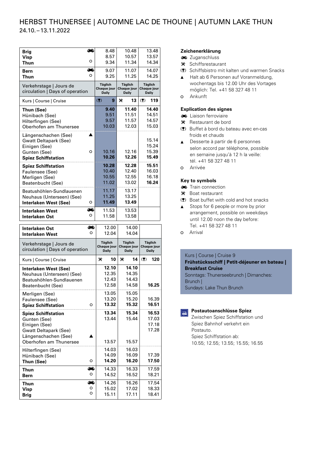### HERBST THUNERSEE | AUTOMNE LAC DE THOUNE | AUTUMN LAKE THUN 24.10. –13.11.2022

| <b>Brig</b><br><b>Visp</b>                                                                                                                    | æ<br>o  | 8.48<br>8.57                           | 10.48<br>10.57                         | 13.48<br>13.57                         |
|-----------------------------------------------------------------------------------------------------------------------------------------------|---------|----------------------------------------|----------------------------------------|----------------------------------------|
| Thun<br>Bern                                                                                                                                  | ھە      | 9.34<br>9.07                           | 11.34<br>11.07                         | 14.34<br>14.07                         |
| Thun                                                                                                                                          | O       | 9.25                                   | 11.25                                  | 14.25                                  |
| Verkehrstage   Jours de<br>circulation   Days of operation                                                                                    |         | <b>Täglich</b><br>Chaque jour<br>Daily | <b>Täglich</b><br>Chaque jour<br>Daily | <b>Täglich</b><br>Chaque jour<br>Daily |
| Kurs   Course   Cruise                                                                                                                        |         | (2)<br>9                               | ×<br>13                                | (2)<br>119                             |
| Thun (See)<br>Hünibach (See)<br>Hilterfingen (See)<br>Oberhofen am Thunersee                                                                  |         | 9.40<br>9.51<br>9.57<br>10.03          | 11.40<br>11.51<br>11.57<br>12.03       | 14.40<br>14.51<br>14.57<br>15.03       |
| Längenschachen (See)<br><b>Gwatt Deltapark (See)</b><br>Einigen (See)<br>Gunten (See)<br><b>Spiez Schiffstation</b>                           | ▲<br>O  | 10.16<br>10.26                         | 12.16<br>12.26                         | 15.14<br>15.24<br>15.39<br>15.49       |
| <b>Spiez Schiffstation</b><br>Faulensee (See)<br>Merligen (See)<br>Beatenbucht (See)                                                          |         | 10.28<br>10.40<br>10.55<br>11.02       | 12.28<br>12.40<br>12.55<br>13.02       | 15.51<br>16.03<br>16.18<br>16.24       |
| Beatushöhlen-Sundlauenen<br>Neuhaus (Unterseen) (See)<br><b>Interlaken West (See)</b>                                                         | o       | 11.17<br>11.25<br>11.49                | 13.17<br>13.25<br>13.49                |                                        |
| Interlaken West                                                                                                                               | هة<br>o | 11.53<br>11.58                         | 13.53<br>13.58                         |                                        |
| Interlaken Ost                                                                                                                                |         |                                        |                                        |                                        |
| Interlaken Ost<br><b>Interlaken West</b>                                                                                                      | ذف<br>O | 12.00<br>12.04                         | 14.00<br>14.04                         |                                        |
| Verkehrstage   Jours de<br>circulation   Days of operation                                                                                    |         | <b>Täglich</b><br>Chaque jour<br>Daily | <b>Täglich</b><br>Chaque jour<br>Daily | <b>Täglich</b><br>Chaque jour<br>Daily |
| Kurs   Course   Cruise                                                                                                                        |         | ×<br>10                                | ≫<br>14                                | (2)<br>120                             |
| Interlaken West (See)<br>Neuhaus (Unterseen) (See)<br>Beatushöhlen-Sundlauenen<br>Beatenbucht (See)                                           |         | 12.10<br>12.35<br>12.43<br>12.58       | 14.10<br>14.35<br>14.43<br>14.58       | 16.25                                  |
| Merligen (See)<br>Faulensee (See)<br><b>Spiez Schiffstation</b>                                                                               | O       | 13.05<br>13.20<br>13.32                | 15.05<br>15.20<br>15.32                | 16.39<br>16.51                         |
| <b>Spiez Schiffstation</b><br>Gunten (See)<br>Einigen (See)<br><b>Gwatt Deltapark (See)</b><br>Längenschachen (See)<br>Oberhofen am Thunersee |         | 13.34<br>13.44<br>13.57                | 15.34<br>15.44<br>15.57                | 16.53<br>17.03<br>17.18<br>17.28       |
| Hilterfingen (See)<br>Hünibach (See)<br>Thun (See)                                                                                            | O       | 14.03<br>14.09<br>14.20                | 16.03<br>16.09<br>16.20                | 17.39<br>17.50                         |
| <b>Thun</b><br><b>Bern</b>                                                                                                                    | œ<br>o  | 14.33<br>14.52                         | 16.33<br>16.52                         | 17.59<br>18.21                         |

#### **Zeichenerklärung**

- **zip** Zuganschluss
- $\mathbf{\times}$  Schiffsrestaurant
- (!) Schiffsbistro mit kalten und warmen Snacks
- ▲ Halt ab 6 Personen auf Voranmeldung, wochentags bis 12.00 Uhr des Vortages möglich: Tel. +41 58 327 48 11
- o Ankunft

#### **Explication des signes**

- **ED** Liaison ferroviaire
- $\mathcal K$  Restaurant de bord
- (!) Buffet à bord du bateau avec en-cas froids et chauds
- **▲** Desserte à partir de 6 personnes selon accord par téléphone, possible en semaine jusqu'à 12 h la veille: tél. +41 58 327 48 11
- o Arrivée

#### **Key to symbols**

- Train connection
- \* Boat restaurant
- (!) Boat buffet with cold and hot snacks
- ▲ Stops for 6 people or more by prior arrangement, possible on weekdays until 12.00 noon the day before: Tel. +41 58 327 48 11
- o Arrival

#### Kurs | Course | Cruise 9

**Frühstücksschiff | Petit-déjeuner en bateau | Breakfast Cruise** Sonntags: Thunerseebrunch | Dimanches: Brunch | Sundays: Lake Thun Brunch

#### **Postautoanschlüsse Spiez**

Zwischen Spiez Schiffstation und Spiez Bahnhof verkehrt ein Postauto. Spiez Schiffstation ab: 10.55; 12.55; 13.55; 15.55; 16.55

 $\boxed{\text{H}}$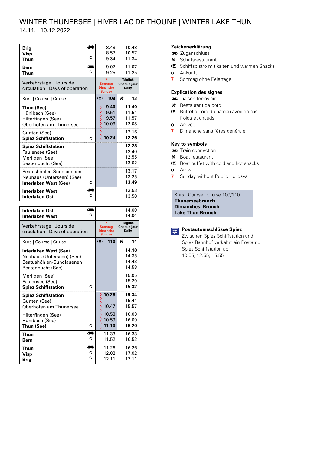# WINTER THUNERSEE | HIVER LAC DE THOUNE | WINTER LAKE THUN

14.11. –10.12.2022

| Brig                                                       | $\overline{\phantom{a}}$ |   | 8.48                                                                 |   | 10.48                                  |
|------------------------------------------------------------|--------------------------|---|----------------------------------------------------------------------|---|----------------------------------------|
| Visp                                                       |                          |   | 8.57                                                                 |   | 10.57                                  |
| Thun                                                       | O                        |   | 9.34                                                                 |   | 11.34                                  |
| Bern                                                       | هة                       |   | 9.07                                                                 |   | 11.07                                  |
| <b>Thun</b>                                                | റ                        |   | 9.25                                                                 |   | 11.25                                  |
| Verkehrstage   Jours de<br>circulation   Days of operation |                          |   | $\overline{ }$<br><b>Sonntag</b><br><b>Dimanche</b><br><b>Sunday</b> |   | <b>Täglich</b><br>Chaque jour<br>Daily |
| Kurs   Course   Cruise                                     |                          | ( | 109                                                                  | × | 13                                     |
| Thun (See)                                                 |                          |   | 9.40                                                                 |   | 11.40                                  |
| Hünibach (See)                                             |                          |   | 9.51                                                                 |   | 11.51                                  |
| Hilterfingen (See)                                         |                          |   | 9.57                                                                 |   | 11.57                                  |
| Oberhofen am Thunersee                                     |                          |   | 10.03                                                                |   | 12.03                                  |
| Gunten (See)                                               |                          |   |                                                                      |   | 12.16                                  |
| <b>Spiez Schiffstation</b>                                 | റ                        |   | 10.24                                                                |   | 12.26                                  |
| <b>Spiez Schiffstation</b>                                 |                          |   |                                                                      |   | 12.28                                  |
| Faulensee (See)                                            |                          |   |                                                                      |   | 12.40                                  |
| Merligen (See)                                             |                          |   |                                                                      |   | 12.55                                  |
| Beatenbucht (See)                                          |                          |   |                                                                      |   | 13.02                                  |
|                                                            |                          |   |                                                                      |   | 13.17                                  |
| Beatushöhlen-Sundlauenen                                   |                          |   |                                                                      |   | 13.25                                  |
| Neuhaus (Unterseen) (See)                                  |                          |   |                                                                      |   |                                        |
| Interlaken West (See)                                      | O                        |   |                                                                      |   | 13.49                                  |
| <b>Interlaken West</b>                                     |                          |   |                                                                      |   | 13.53                                  |
| <b>Interlaken Ost</b>                                      | O                        |   |                                                                      |   | 13.58                                  |
|                                                            |                          |   |                                                                      |   |                                        |

| <b>Interlaken Ost</b><br><b>Interlaken West</b>                                                     | O       |     |                                                         |   | 14.00<br>14.04                                |
|-----------------------------------------------------------------------------------------------------|---------|-----|---------------------------------------------------------|---|-----------------------------------------------|
| Verkehrstage   Jours de<br>circulation   Days of operation                                          |         |     | 7<br><b>Sonntag</b><br><b>Dimanche</b><br><b>Sunday</b> |   | <b>Täglich</b><br>Chaque jour<br><b>Daily</b> |
| Kurs   Course   Cruise                                                                              |         | (2) | 110                                                     | × | 14                                            |
| Interlaken West (See)<br>Neuhaus (Unterseen) (See)<br>Beatushöhlen-Sundlauenen<br>Beatenbucht (See) |         |     |                                                         |   | 14.10<br>14.35<br>14.43<br>14.58              |
| Merligen (See)<br>Faulensee (See)<br><b>Spiez Schiffstation</b>                                     | O       |     |                                                         |   | 15.05<br>15.20<br>15.32                       |
| <b>Spiez Schiffstation</b><br>Gunten (See)<br>Oberhofen am Thunersee                                |         |     | 10.26<br>10.47                                          |   | 15.34<br>15.44<br>15.57                       |
| Hilterfingen (See)<br>Hünibach (See)<br>Thun (See)                                                  | O       |     | 10.53<br>10.59<br>11.10                                 |   | 16.03<br>16.09<br>16.20                       |
| Thun<br><b>Bern</b>                                                                                 | دە<br>O |     | 11.33<br>11.52                                          |   | 16.33<br>16.52                                |
| Thun<br>Visp<br>Brig                                                                                | O<br>O  |     | 11.26<br>12.02<br>12.11                                 |   | 16.26<br>17.02<br>17.11                       |

#### **Zeichenerklärung**

- **zuganschluss**
- $\mathbf{\mathsf{F}}$  Schiffsrestaurant
- (!) Schiffsbistro mit kalten und warmen Snacks
- **o** Ankunft
- **7** Sonntag ohne Feiertage

#### **Explication des signes**

- Liaison ferroviaire
- $\mathbf{\mathsf{R}}$  Restaurant de bord
- (!) Buffet à bord du bateau avec en-cas froids et chauds
- o Arrivée
- **7** Dimanche sans fêtes générale

#### **Key to symbols**

- **Train connection**
- $\mathbf{\mathsf{M}}$  Boat restaurant
- (!) Boat buffet with cold and hot snacks
- o Arrival
- **7** Sunday without Public Holidays

Kurs | Course | Cruise 109/110 **Thunerseebrunch Dimanches: Brunch Lake Thun Brunch**

| ۰, |
|----|

#### **Postautoanschlüsse Spiez**

Zwischen Spiez Schiffstation und Spiez Bahnhof verkehrt ein Postauto. Spiez Schiffstation ab: 10.55; 12.55; 15.55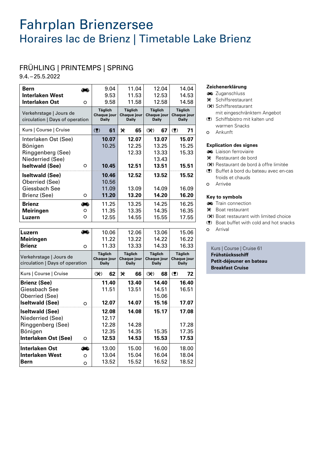# Fahrplan Brienzersee Horaires lac de Brienz | Timetable Lake Brienz

# FRÜHLING | PRINTEMPS | SPRING

9.4.–25.5.2022

Bönigen

**Bern**

**Interlaken Ost Interlaken West**

**Interlaken Ost (See)** o

| <b>Bern</b>                                                |         | 9.04                                          | 11.04                                         | 12.04                                         | 14.04                                         |
|------------------------------------------------------------|---------|-----------------------------------------------|-----------------------------------------------|-----------------------------------------------|-----------------------------------------------|
| <b>Interlaken West</b>                                     |         | 9.53                                          | 11.53                                         | 12.53                                         | 14.53                                         |
| <b>Interlaken Ost</b>                                      | $\circ$ | 9.58                                          | 11.58                                         | 12.58                                         | 14.58                                         |
|                                                            |         | <b>Täglich</b>                                | <b>Täglich</b>                                | <b>Täglich</b>                                | <b>Täglich</b>                                |
| Verkehrstage   Jours de<br>circulation   Days of operation |         | Chaque jour<br><b>Daily</b>                   | Chaque jour<br><b>Daily</b>                   | Chaque jour<br>Daily                          | Chaque jour<br>Daily                          |
| Kurs   Course   Cruise                                     |         | (2)<br>61                                     | ×<br>65                                       | $(\mathcal{K})$<br>67                         | $($ $\blacktriangledown)$<br>71               |
| Interlaken Ost (See)                                       |         | 10.07                                         | 12.07                                         | 13.07                                         | 15.07                                         |
| Bönigen                                                    |         | 10.25                                         | 12.25                                         | 13.25                                         | 15.25                                         |
| Ringgenberg (See)                                          |         |                                               | 12.33                                         | 13.33                                         | 15.33                                         |
| Niederried (See)                                           |         |                                               |                                               | 13.43                                         |                                               |
| <b>Iseltwald (See)</b>                                     | $\circ$ | 10.45                                         | 12.51                                         | 13.51                                         | 15.51                                         |
| <b>Iseltwald (See)</b>                                     |         | 10.46                                         | 12.52                                         | 13.52                                         | 15.52                                         |
| Oberried (See)                                             |         | 10.56                                         |                                               |                                               |                                               |
| Giessbach See                                              |         | 11.09                                         | 13.09                                         | 14.09                                         | 16.09                                         |
| Brienz (See)                                               | O       | 11.20                                         | 13.20                                         | 14.20                                         | 16.20                                         |
| <b>Brienz</b>                                              | æ       | 11.25                                         | 13.25                                         | 14.25                                         | 16.25                                         |
| <b>Meiringen</b>                                           | O       | 11.35                                         | 13.35                                         | 14.35                                         | 16.35                                         |
| Luzern                                                     | O       | 12.55                                         | 14.55                                         | 15.55                                         | 17.55                                         |
|                                                            |         |                                               |                                               |                                               |                                               |
| Luzern                                                     | æ       | 10.06                                         | 12.06                                         | 13.06                                         | 15.06                                         |
| <b>Meiringen</b>                                           |         | 11.22                                         | 13.22                                         | 14.22                                         | 16.22                                         |
| <b>Brienz</b>                                              | O       | 11.33                                         | 13.33                                         | 14.33                                         | 16.33                                         |
| Verkehrstage   Jours de<br>circulation   Days of operation |         | <b>Täglich</b><br>Chaque jour<br><b>Daily</b> | <b>Täglich</b><br>Chaque jour<br><b>Daily</b> | <b>Täglich</b><br>Chaque jour<br><b>Daily</b> | <b>Täglich</b><br>Chaque jour<br><b>Daily</b> |
| Kurs   Course   Cruise                                     |         | $(\mathcal{K})$<br>62                         | ٧é<br>66                                      | $(\mathcal{K})$<br>68                         | (2)<br>72                                     |
| <b>Brienz (See)</b>                                        |         | 11.40                                         | 13.40                                         | 14.40                                         | 16.40                                         |
| Giessbach See                                              |         | 11.51                                         | 13.51                                         | 14.51                                         | 16.51                                         |
| Oberried (See)                                             |         |                                               |                                               | 15.06                                         |                                               |
| <b>Iseltwald (See)</b>                                     | O       | 12.07                                         | 14.07                                         | 15.16                                         | 17.07                                         |
| <b>Iseltwald (See)</b>                                     |         | 12.08                                         | 14.08                                         | 15.17                                         | 17.08                                         |
| Niederried (See)                                           |         | 12.17                                         |                                               |                                               |                                               |
| Ringgenberg (See)                                          |         | 12.28                                         | 14.28                                         |                                               | 17.28                                         |

12.28 12.35 **12.53**

13.00 13.04 13.52

ô Ä Ä

14.28 14.35 **14.53**

15.00 15.04 15.52 15.35 **15.53**

16.00 16.04 16.52 17.28 17.35 **17.53**

18.00 18.04 18.52

#### **Zeichenerklärung**

- **zuganschluss**
- $\mathbf{\times}$  Schiffsrestaurant
- (\*) Schiffsrestaurant mit eingeschränktem Angebot
- (!) Schiffsbistro mit kalten und warmen Snacks
- Ä Ankunft

#### **Explication des signes**

- **ED** Liaison ferroviaire
- $\mathcal K$  Restaurant de bord
- (\*) Restaurant de bord à offre limitée
- (!) Buffet à bord du bateau avec en-cas froids et chauds
- o Arrivée

#### **Key to symbols**

- Train connection
- \* Boat restaurant
- (**)** Boat restaurant with limited choice
- (!) Boat buffet with cold and hot snacks
- o Arrival

#### Kurs | Course | Cruise 61

**Frühstücksschiff Petit-déjeuner en bateau Breakfast Cruise**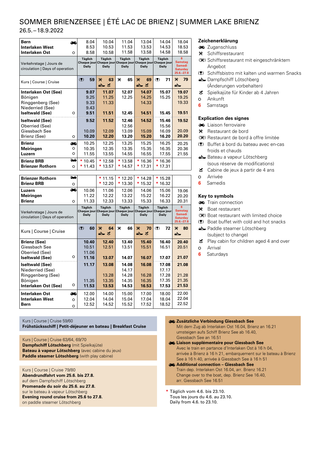# SOMMER BRIENZERSEE | ÉTÉ LAC DE BRIENZ | SUMMER LAKE BRIENZ

26.5. –18.9.2022

| <b>Bern</b><br><b>Interlaken West</b><br><b>Interlaken Ost</b><br>O                                           | 8.04<br>8.53<br>8.58                 | 10.04<br>10.53<br>10.58          | 11.04<br>11.53<br>11.58          | 13.04<br>13.53<br>13.58          | 14.04<br>14.53<br>14.58                                                                       | 18.04<br>18.53<br>18.58                                                  |
|---------------------------------------------------------------------------------------------------------------|--------------------------------------|----------------------------------|----------------------------------|----------------------------------|-----------------------------------------------------------------------------------------------|--------------------------------------------------------------------------|
| Verkehrstage   Jours de<br>circulation   Days of operation                                                    | <b>Täglich</b><br><b>Daily</b>       | <b>Täglich</b><br><b>Daily</b>   | <b>Täglich</b><br><b>Daily</b>   | <b>Täglich</b><br><b>Daily</b>   | <b>Täglich</b><br>Chaque jour Chaque jour Chaque jour Chaque jour Chaque jour<br><b>Daily</b> | 6<br><b>Samstag</b><br><b>Samedi</b><br><b>Saturday</b><br>$25.6 - 27.8$ |
| Kurs   Course   Cruise                                                                                        | (<br>59                              | 63<br>₩<br>는 꼬                   | ≫<br>65                          | ₩<br>69<br>스 프                   | (2)<br>71                                                                                     | ×<br>79<br>┷                                                             |
| Interlaken Ost (See)<br>Bönigen<br>Ringgenberg (See)<br>Niederried (See)<br><b>Iseltwald (See)</b><br>$\circ$ | 9.07<br>9.25<br>9.33<br>9.43<br>9.51 | 11.07<br>11.25<br>11.33<br>11.51 | 12.07<br>12.25<br>12.45          | 14.07<br>14.25<br>14.33<br>14.51 | 15.07<br>15.25<br>15.45                                                                       | 19.07<br>19.25<br>19.33<br>19.51                                         |
| <b>Iseltwald (See)</b><br>Oberried (See)<br>Giessbach See<br>Brienz (See)<br>$\circ$                          | 9.52<br>10.09<br>10.20               | 11.52<br>12.09<br>12.20          | 12.46<br>12.56<br>13.09<br>13.20 | 14.52<br>15.09<br>15.20          | 15.46<br>15.56<br>16.09<br>16.20                                                              | 19.52<br>20.09<br>20.20                                                  |
| <b>Brienz</b><br>هه<br><b>Meiringen</b><br>$\circ$<br>Luzern<br>O                                             | 10.25<br>10.35<br>11.55              | 12.25<br>12.35<br>13.55          | 13.25<br>13.35<br>14.55          | 15.25<br>15.35<br>16.55          | 16.25<br>16.35<br>17.55                                                                       | 20.25<br>20.36<br>21.55                                                  |
| 344<br><b>Brienz BRB</b><br><b>Brienzer Rothorn</b><br>$\circ$                                                | $*10.45$<br>11.43                    | $*12.58$<br>* 13.57              | $*13.58$<br>* 14.57              | 16.36<br>17.31                   | $*16.36$<br>* 17.31                                                                           |                                                                          |

| ₩       |                                 | $*11.15$                       | $*12.20$                       | $*14.28$                | $*15.28$                       |                                                                          |
|---------|---------------------------------|--------------------------------|--------------------------------|-------------------------|--------------------------------|--------------------------------------------------------------------------|
| $\circ$ |                                 | $*12.20$                       | 13.30                          | * 15.32                 | * 16.32                        |                                                                          |
| هه      | 10.06                           | 11.06                          | 12.06                          | 14.06                   | 15.06                          | 19.06                                                                    |
|         | 11.22                           | 12.22                          | 13.22                          | 15.22                   | 16.22                          | 20.20                                                                    |
| $\circ$ | 11.33                           | 12.33                          | 13.33                          | 15.33                   | 16.33                          | 20.31                                                                    |
|         | <b>Täglich</b><br><b>Daily</b>  | <b>Täglich</b><br><b>Daily</b> | <b>Täglich</b><br><b>Daily</b> | Täglich<br><b>Daily</b> | <b>Täglich</b><br><b>Daily</b> | ĥ<br><b>Samstag</b><br><b>Samedi</b><br><b>Saturdav</b><br>$25.6 - 27.8$ |
|         | (2)<br>60                       | 64<br>X<br>스 표                 | ×<br>66                        | 70<br><b>X</b><br>스 표   | (2)<br>72                      | 80<br>×<br>┷                                                             |
|         | 10.40                           | 12.40                          | 13.40                          | 15.40                   | 16.40                          | 20.40                                                                    |
|         | 10.51                           | 12.51                          | 13.51                          | 15.51                   | 16.51                          | 20.51                                                                    |
|         | 11.06                           |                                |                                |                         |                                |                                                                          |
| O       | 11.16                           | 13.07                          | 14.07                          | 16.07                   | 17.07                          | 21.07                                                                    |
|         | 11.17                           | 13.08                          | 14.08                          | 16.08                   | 17.08                          | 21.08                                                                    |
|         |                                 |                                | 14.17                          |                         | 17.17                          |                                                                          |
|         |                                 | 13.28                          | 14.28                          | 16.28                   | 17.28                          | 21.28                                                                    |
|         | 11.35                           | 13.35                          | 14.35                          | 16.35                   | 17.35                          | 21.35                                                                    |
| O       | 11.53                           | 13.53                          | 14.53                          | 16.53                   | 17.53                          | 21.53                                                                    |
| œ       | 12.00                           | 14.00                          | 15.00                          | 17.00                   | 18.00                          | 22.00                                                                    |
| $\circ$ | 12.04                           | 14.04                          | 15.04                          | 17.04                   | 18.04                          | 22.04                                                                    |
|         |                                 |                                |                                |                         |                                |                                                                          |
|         | circulation   Days of operation |                                |                                |                         |                                | Chaque jour Chaque jour Chaque jour Chaque jour Chaque jour              |

Kurs | Course | Cruise 59/60

**Frühstücksschiff | Petit-déjeuner en bateau | Breakfast Cruise**

Kurs | Course | Cruise 63/64, 69/70 **Dampfschiff Lötschberg** (mit Spielkajüte) **Bateau à vapeur Lötschberg** (avec cabine du jeux) **Paddle steamer Lötschberg** (with play cabine)

Kurs | Course | Cruise 79/80 **Abendrundfahrt vom 25.6. bis 27.8.** auf dem Dampfschiff Lötschberg **Promenade du soir du 25.6. au 27.8.**  sur le bateau à vapeur Lötschberg **Evening round cruise from 25.6 to 27.8.**  on paddle steamer Lötschberg

#### **Zeichenerklärung**

- **ED** Zuganschluss
- q Schiffsrestaurant
- () Schiffsrestaurant mit eingeschränktem Angebot
- (!) Schiffsbistro mit kalten und warmen Snacks
- $\triangle$  Dampfschiff Lötschberg (Änderungen vorbehalten)
- ~ Spielkajüte für Kinder ab 4 Jahren
- Ä Ankunft
- **6** Samstags

#### **Explication des signes**

- Liaison ferroviaire
- \* Restaurant de bord
- (\*) Restaurant de bord à offre limitée
- (!) Buffet à bord du bateau avec en-cas froids et chauds
- $\triangle$  Bateau a vapeur Lötschberg (sous réserve de modifications)
- $\bullet$  Cabine de jeux à partir de 4 ans
- o Arrivée
- **6** Samedis

#### **Key to symbols**

- **Train connection**
- \* Boat restaurant
- (\*) Boat restaurant with limited choice
- (!) Boat buffet with cold and hot snacks
- $\triangle$  Paddle steamer Lötschberg (subject to change)
- $\mathbf{\mathfrak{C}}$  Play cabin for children aged 4 and over
- o Arrival
- **6** Saturdays

- ô **Zusätzliche Verbindung Giessbach See** Mit dem Zug ab Interlaken Ost 16.04, Brienz an 16.21 umsteigen aufs Schiff Brienz See ab 16.40, Giessbach See an 16.51
- ô **Liaison supplémentaire pour Giessbach See** Avec le train en partance d'Interlaken Ost à 16 h 04, arrivée à Brienz à 16 h 21, embarquement sur le bateau à Brienz See à 16 h 40, arrivée à Giessbach See à 16 h 51
- ô **Additional connection Giessbach See** Train dep. Interlaken Ost 16.04, arr. Brienz 16.21 Change over to the boat, dep. Brienz See 16.40, arr. Giessbach See 16.51
- **\*** Täglich vom 4.6. bis 23.10. Tous les jours du 4.6. au 23.10. Daily from 4.6. to 23.10.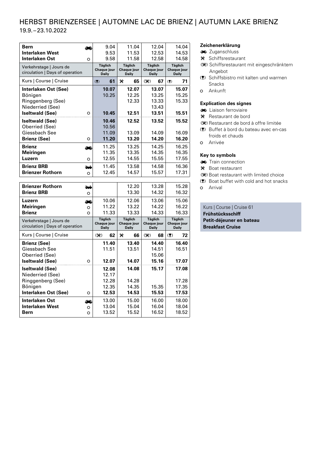### HERBST BRIENZERSEE | AUTOMNE LAC DE BRIENZ | AUTUMN LAKE BRIENZ 19.9. –23.10.2022

| Bern                                                       | −       | 9.04                                          | 11.04                                  | 12.04                                  | 14.04                                  |
|------------------------------------------------------------|---------|-----------------------------------------------|----------------------------------------|----------------------------------------|----------------------------------------|
| <b>Interlaken West</b>                                     |         | 9.53                                          | 11.53                                  | 12.53                                  | 14.53                                  |
| <b>Interlaken Ost</b>                                      | O       | 9.58                                          | 11.58                                  | 12.58                                  | 14.58                                  |
| Verkehrstage   Jours de<br>circulation   Days of operation |         | <b>Täglich</b><br>Chaque jour<br><b>Daily</b> | Täglich<br>Chaque jour<br><b>Daily</b> | Täglich<br>Chaque jour<br><b>Daily</b> | <b>Täglich</b><br>Chaque jour<br>Daily |
| Kurs   Course   Cruise                                     |         | 61<br>(2)                                     | ₩<br>65                                | 67<br>$(\mathcal{K})$                  | 71<br>(2)                              |
| Interlaken Ost (See)                                       |         | 10.07                                         | 12.07                                  | 13.07                                  | 15.07                                  |
| Bönigen                                                    |         | 10.25                                         | 12.25                                  | 13.25                                  | 15.25                                  |
| Ringgenberg (See)                                          |         |                                               | 12.33                                  | 13.33                                  | 15.33                                  |
| Niederried (See)                                           |         |                                               |                                        | 13.43                                  |                                        |
| <b>Iseltwald (See)</b>                                     | $\circ$ | 10.45                                         | 12.51                                  | 13.51                                  | 15.51                                  |
| <b>Iseltwald (See)</b>                                     |         | 10.46                                         | 12.52                                  | 13.52                                  | 15.52                                  |
| Oberried (See)                                             |         | 10.56                                         |                                        |                                        |                                        |
| Giessbach See                                              |         | 11.09                                         | 13.09                                  | 14.09                                  | 16.09                                  |
| <b>Brienz (See)</b>                                        | O       | 11.20                                         | 13.20                                  | 14.20                                  | 16.20                                  |
| <b>Brienz</b>                                              |         | 11.25                                         | 13.25                                  | 14.25                                  | 16.25                                  |
| <b>Meiringen</b>                                           |         | 11.35                                         | 13.35                                  | 14.35                                  | 16.35                                  |
| Luzern                                                     | O       | 12.55                                         | 14.55                                  | 15.55                                  | 17.55                                  |
| <b>Brienz BRB</b>                                          | ≖       | 11.45                                         | 13.58                                  | 14.58                                  | 16.36                                  |
| <b>Brienzer Rothorn</b>                                    | $\circ$ | 12.45                                         | 14.57                                  | 15.57                                  | 17.31                                  |
|                                                            |         |                                               |                                        |                                        |                                        |

| <b>Brienzer Rothorn</b><br>12.20<br>13.28<br><b>Brienz BRB</b><br>13.30<br>14.32<br>$\circ$<br>10.06<br>12.06<br>13.06<br>Luzern<br>—<br>11.22<br>14.22<br><b>Meiringen</b><br>13.22<br>O<br><b>Brienz</b><br>11.33<br>13.33<br>14.33<br>O<br><b>Täglich</b><br>Täglich<br>Täglich<br>Verkehrstage   Jours de<br>Chaque jour<br>Chaque jour<br>Chaque jour<br>circulation   Days of operation<br><b>Daily</b><br><b>Daily</b><br><b>Daily</b><br>Kurs   Course   Cruise<br>62<br>⋇<br>68<br>$(\mathcal{K})$<br>66<br>$(\mathcal{K})$<br><b>Brienz (See)</b><br>11.40<br>13.40<br>14.40<br>Giessbach See<br>11.51<br>14.51<br>13.51<br>Oberried (See)<br>15.06<br><b>Iseltwald (See)</b><br>12.07<br>14.07<br>15.16<br>$\circ$<br><b>Iseltwald (See)</b><br>12.08<br>14.08<br>15.17<br>Niederried (See)<br>12.17<br>Ringgenberg (See)<br>12.28<br>14.28<br>12.35<br>14.35<br>15.35<br>Bönigen<br>Interlaken Ost (See)<br>12.53<br>14.53<br>15.53<br>O<br>Interlaken Ost<br>13.00<br>15.00<br>16.00 |                        |       |       |       |                                  |
|---------------------------------------------------------------------------------------------------------------------------------------------------------------------------------------------------------------------------------------------------------------------------------------------------------------------------------------------------------------------------------------------------------------------------------------------------------------------------------------------------------------------------------------------------------------------------------------------------------------------------------------------------------------------------------------------------------------------------------------------------------------------------------------------------------------------------------------------------------------------------------------------------------------------------------------------------------------------------------------------------|------------------------|-------|-------|-------|----------------------------------|
|                                                                                                                                                                                                                                                                                                                                                                                                                                                                                                                                                                                                                                                                                                                                                                                                                                                                                                                                                                                                   |                        |       |       |       | 15.28<br>16.32                   |
|                                                                                                                                                                                                                                                                                                                                                                                                                                                                                                                                                                                                                                                                                                                                                                                                                                                                                                                                                                                                   |                        |       |       |       | 15.06<br>16.22<br>16.33          |
|                                                                                                                                                                                                                                                                                                                                                                                                                                                                                                                                                                                                                                                                                                                                                                                                                                                                                                                                                                                                   |                        |       |       |       | <b>Täglich</b>                   |
|                                                                                                                                                                                                                                                                                                                                                                                                                                                                                                                                                                                                                                                                                                                                                                                                                                                                                                                                                                                                   |                        |       |       |       | Chaque jour<br><b>Daily</b>      |
|                                                                                                                                                                                                                                                                                                                                                                                                                                                                                                                                                                                                                                                                                                                                                                                                                                                                                                                                                                                                   |                        |       |       |       | 72<br>(2)                        |
|                                                                                                                                                                                                                                                                                                                                                                                                                                                                                                                                                                                                                                                                                                                                                                                                                                                                                                                                                                                                   |                        |       |       |       | 16.40<br>16.51<br>17.07          |
|                                                                                                                                                                                                                                                                                                                                                                                                                                                                                                                                                                                                                                                                                                                                                                                                                                                                                                                                                                                                   |                        |       |       |       | 17.08<br>17.28<br>17.35<br>17.53 |
| $\circ$<br>13.52<br>16.52<br>15.52<br>Bern<br>O                                                                                                                                                                                                                                                                                                                                                                                                                                                                                                                                                                                                                                                                                                                                                                                                                                                                                                                                                   | <b>Interlaken West</b> | 13.04 | 15.04 | 16.04 | 18.00<br>18.04<br>18.52          |

#### **Zeichenerklärung**

- **Zuganschluss**
- $\mathbf{\mathsf{F}}$  Schiffsrestaurant
- (\*) Schiffsrestaurant mit eingeschränktem Angebot
- (!) Schiffsbistro mit kalten und warmen Snacks
- o Ankunft

#### **Explication des signes**

- Liaison ferroviaire
- $\mathbf{\mathsf{K}}$  Restaurant de bord
- (\*) Restaurant de bord à offre limitée
- (!) Buffet à bord du bateau avec en-cas froids et chauds
- o Arrivée

#### **Key to symbols**

- **Train connection**
- \* Boat restaurant
- () Boat restaurant with limited choice
- (!) Boat buffet with cold and hot snacks o Arrival
- 

Kurs | Course | Cruise 61 **Frühstücksschiff Petit-déjeuner en bateau Breakfast Cruise**